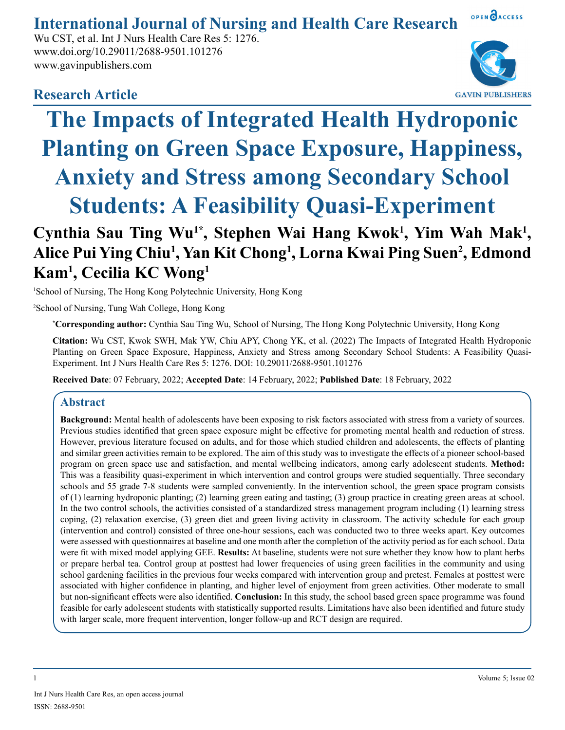## **International Journal of Nursing and Health Care Research**

Wu CST, et al. Int J Nurs Health Care Res 5: 1276. www.doi.org/10.29011/2688-9501.101276 www.gavinpublishers.com

OPEN OACCESS

### **Research Article**



# **The Impacts of Integrated Health Hydroponic Planting on Green Space Exposure, Happiness, Anxiety and Stress among Secondary School Students: A Feasibility Quasi-Experiment**

## Cynthia Sau Ting Wu<sup>1\*</sup>, Stephen Wai Hang Kwok<sup>1</sup>, Yim Wah Mak<sup>1</sup>, **Alice Pui Ying Chiu1 , Yan Kit Chong1 , Lorna Kwai Ping Suen2 , Edmond Kam1 , Cecilia KC Wong1**

1 School of Nursing, The Hong Kong Polytechnic University, Hong Kong

2 School of Nursing, Tung Wah College, Hong Kong

**\* Corresponding author:** Cynthia Sau Ting Wu, School of Nursing, The Hong Kong Polytechnic University, Hong Kong

**Citation:** Wu CST, Kwok SWH, Mak YW, Chiu APY, Chong YK, et al. (2022) The Impacts of Integrated Health Hydroponic Planting on Green Space Exposure, Happiness, Anxiety and Stress among Secondary School Students: A Feasibility Quasi-Experiment. Int J Nurs Health Care Res 5: 1276. DOI: 10.29011/2688-9501.101276

**Received Date**: 07 February, 2022; **Accepted Date**: 14 February, 2022; **Published Date**: 18 February, 2022

#### **Abstract**

**Background:** Mental health of adolescents have been exposing to risk factors associated with stress from a variety of sources. Previous studies identified that green space exposure might be effective for promoting mental health and reduction of stress. However, previous literature focused on adults, and for those which studied children and adolescents, the effects of planting and similar green activities remain to be explored. The aim of this study was to investigate the effects of a pioneer school-based program on green space use and satisfaction, and mental wellbeing indicators, among early adolescent students. **Method:** This was a feasibility quasi-experiment in which intervention and control groups were studied sequentially. Three secondary schools and 55 grade 7-8 students were sampled conveniently. In the intervention school, the green space program consists of (1) learning hydroponic planting; (2) learning green eating and tasting; (3) group practice in creating green areas at school. In the two control schools, the activities consisted of a standardized stress management program including (1) learning stress coping, (2) relaxation exercise, (3) green diet and green living activity in classroom. The activity schedule for each group (intervention and control) consisted of three one-hour sessions, each was conducted two to three weeks apart. Key outcomes were assessed with questionnaires at baseline and one month after the completion of the activity period as for each school. Data were fit with mixed model applying GEE. **Results:** At baseline, students were not sure whether they know how to plant herbs or prepare herbal tea. Control group at posttest had lower frequencies of using green facilities in the community and using school gardening facilities in the previous four weeks compared with intervention group and pretest. Females at posttest were associated with higher confidence in planting, and higher level of enjoyment from green activities. Other moderate to small but non-significant effects were also identified. **Conclusion:** In this study, the school based green space programme was found feasible for early adolescent students with statistically supported results. Limitations have also been identified and future study with larger scale, more frequent intervention, longer follow-up and RCT design are required.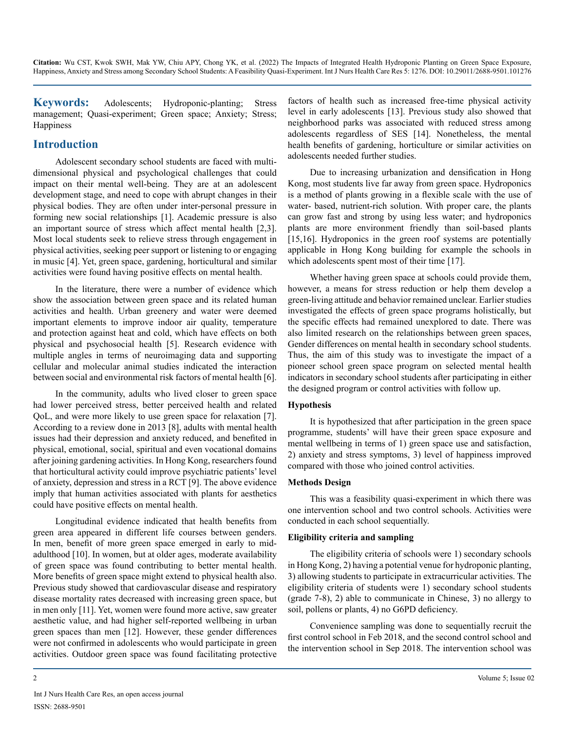**Keywords:** Adolescents; Hydroponic-planting; Stress management; Quasi-experiment; Green space; Anxiety; Stress; **Happiness** 

#### **Introduction**

Adolescent secondary school students are faced with multidimensional physical and psychological challenges that could impact on their mental well-being. They are at an adolescent development stage, and need to cope with abrupt changes in their physical bodies. They are often under inter-personal pressure in forming new social relationships [1]. Academic pressure is also an important source of stress which affect mental health [2,3]. Most local students seek to relieve stress through engagement in physical activities, seeking peer support or listening to or engaging in music [4]. Yet, green space, gardening, horticultural and similar activities were found having positive effects on mental health.

In the literature, there were a number of evidence which show the association between green space and its related human activities and health. Urban greenery and water were deemed important elements to improve indoor air quality, temperature and protection against heat and cold, which have effects on both physical and psychosocial health [5]. Research evidence with multiple angles in terms of neuroimaging data and supporting cellular and molecular animal studies indicated the interaction between social and environmental risk factors of mental health [6].

In the community, adults who lived closer to green space had lower perceived stress, better perceived health and related QoL, and were more likely to use green space for relaxation [7]. According to a review done in 2013 [8], adults with mental health issues had their depression and anxiety reduced, and benefited in physical, emotional, social, spiritual and even vocational domains after joining gardening activities. In Hong Kong, researchers found that horticultural activity could improve psychiatric patients' level of anxiety, depression and stress in a RCT [9]. The above evidence imply that human activities associated with plants for aesthetics could have positive effects on mental health.

Longitudinal evidence indicated that health benefits from green area appeared in different life courses between genders. In men, benefit of more green space emerged in early to midadulthood [10]. In women, but at older ages, moderate availability of green space was found contributing to better mental health. More benefits of green space might extend to physical health also. Previous study showed that cardiovascular disease and respiratory disease mortality rates decreased with increasing green space, but in men only [11]. Yet, women were found more active, saw greater aesthetic value, and had higher self-reported wellbeing in urban green spaces than men [12]. However, these gender differences were not confirmed in adolescents who would participate in green activities. Outdoor green space was found facilitating protective factors of health such as increased free-time physical activity level in early adolescents [13]. Previous study also showed that neighborhood parks was associated with reduced stress among adolescents regardless of SES [14]. Nonetheless, the mental health benefits of gardening, horticulture or similar activities on adolescents needed further studies.

Due to increasing urbanization and densification in Hong Kong, most students live far away from green space. Hydroponics is a method of plants growing in a flexible scale with the use of water- based, nutrient-rich solution. With proper care, the plants can grow fast and strong by using less water; and hydroponics plants are more environment friendly than soil-based plants [15,16]. Hydroponics in the green roof systems are potentially applicable in Hong Kong building for example the schools in which adolescents spent most of their time [17].

Whether having green space at schools could provide them, however, a means for stress reduction or help them develop a green-living attitude and behavior remained unclear. Earlier studies investigated the effects of green space programs holistically, but the specific effects had remained unexplored to date. There was also limited research on the relationships between green spaces, Gender differences on mental health in secondary school students. Thus, the aim of this study was to investigate the impact of a pioneer school green space program on selected mental health indicators in secondary school students after participating in either the designed program or control activities with follow up.

#### **Hypothesis**

It is hypothesized that after participation in the green space programme, students' will have their green space exposure and mental wellbeing in terms of 1) green space use and satisfaction, 2) anxiety and stress symptoms, 3) level of happiness improved compared with those who joined control activities.

#### **Methods Design**

This was a feasibility quasi-experiment in which there was one intervention school and two control schools. Activities were conducted in each school sequentially.

#### **Eligibility criteria and sampling**

The eligibility criteria of schools were 1) secondary schools in Hong Kong, 2) having a potential venue for hydroponic planting, 3) allowing students to participate in extracurricular activities. The eligibility criteria of students were 1) secondary school students (grade 7-8), 2) able to communicate in Chinese, 3) no allergy to soil, pollens or plants, 4) no G6PD deficiency.

Convenience sampling was done to sequentially recruit the first control school in Feb 2018, and the second control school and the intervention school in Sep 2018. The intervention school was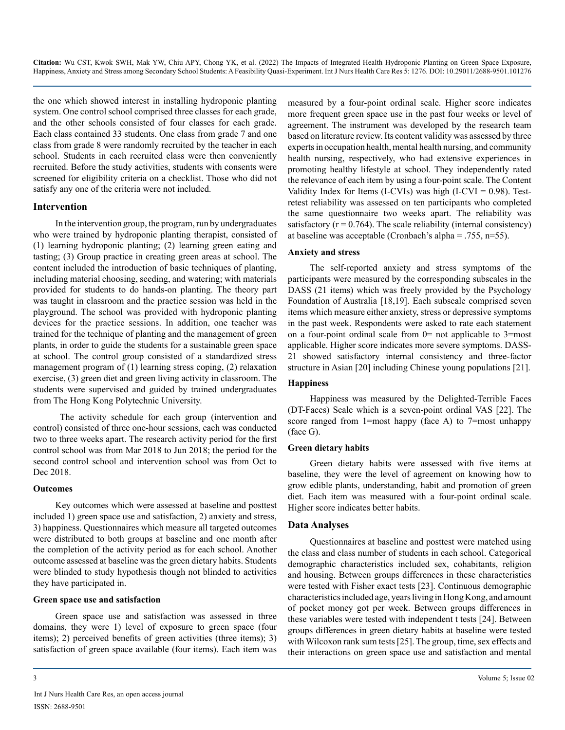the one which showed interest in installing hydroponic planting system. One control school comprised three classes for each grade, and the other schools consisted of four classes for each grade. Each class contained 33 students. One class from grade 7 and one class from grade 8 were randomly recruited by the teacher in each school. Students in each recruited class were then conveniently recruited. Before the study activities, students with consents were screened for eligibility criteria on a checklist. Those who did not satisfy any one of the criteria were not included.

#### **Intervention**

In the intervention group, the program, run by undergraduates who were trained by hydroponic planting therapist, consisted of (1) learning hydroponic planting; (2) learning green eating and tasting; (3) Group practice in creating green areas at school. The content included the introduction of basic techniques of planting, including material choosing, seeding, and watering; with materials provided for students to do hands-on planting. The theory part was taught in classroom and the practice session was held in the playground. The school was provided with hydroponic planting devices for the practice sessions. In addition, one teacher was trained for the technique of planting and the management of green plants, in order to guide the students for a sustainable green space at school. The control group consisted of a standardized stress management program of (1) learning stress coping, (2) relaxation exercise, (3) green diet and green living activity in classroom. The students were supervised and guided by trained undergraduates from The Hong Kong Polytechnic University.

 The activity schedule for each group (intervention and control) consisted of three one-hour sessions, each was conducted two to three weeks apart. The research activity period for the first control school was from Mar 2018 to Jun 2018; the period for the second control school and intervention school was from Oct to Dec 2018.

#### **Outcomes**

Key outcomes which were assessed at baseline and posttest included 1) green space use and satisfaction, 2) anxiety and stress, 3) happiness. Questionnaires which measure all targeted outcomes were distributed to both groups at baseline and one month after the completion of the activity period as for each school. Another outcome assessed at baseline was the green dietary habits. Students were blinded to study hypothesis though not blinded to activities they have participated in.

#### **Green space use and satisfaction**

Green space use and satisfaction was assessed in three domains, they were 1) level of exposure to green space (four items); 2) perceived benefits of green activities (three items); 3) satisfaction of green space available (four items). Each item was measured by a four-point ordinal scale. Higher score indicates more frequent green space use in the past four weeks or level of agreement. The instrument was developed by the research team based on literature review. Its content validity was assessed by three experts in occupation health, mental health nursing, and community health nursing, respectively, who had extensive experiences in promoting healthy lifestyle at school. They independently rated the relevance of each item by using a four-point scale. The Content Validity Index for Items (I-CVIs) was high (I-CVI =  $0.98$ ). Testretest reliability was assessed on ten participants who completed the same questionnaire two weeks apart. The reliability was satisfactory  $(r = 0.764)$ . The scale reliability (internal consistency) at baseline was acceptable (Cronbach's alpha = .755, n=55).

#### **Anxiety and stress**

The self-reported anxiety and stress symptoms of the participants were measured by the corresponding subscales in the DASS (21 items) which was freely provided by the Psychology Foundation of Australia [18,19]. Each subscale comprised seven items which measure either anxiety, stress or depressive symptoms in the past week. Respondents were asked to rate each statement on a four-point ordinal scale from 0= not applicable to 3=most applicable. Higher score indicates more severe symptoms. DASS-21 showed satisfactory internal consistency and three-factor structure in Asian [20] including Chinese young populations [21].

#### **Happiness**

Happiness was measured by the Delighted-Terrible Faces (DT-Faces) Scale which is a seven-point ordinal VAS [22]. The score ranged from 1=most happy (face A) to 7=most unhappy (face G).

#### **Green dietary habits**

Green dietary habits were assessed with five items at baseline, they were the level of agreement on knowing how to grow edible plants, understanding, habit and promotion of green diet. Each item was measured with a four-point ordinal scale. Higher score indicates better habits.

#### **Data Analyses**

Questionnaires at baseline and posttest were matched using the class and class number of students in each school. Categorical demographic characteristics included sex, cohabitants, religion and housing. Between groups differences in these characteristics were tested with Fisher exact tests [23]. Continuous demographic characteristics included age, years living in Hong Kong, and amount of pocket money got per week. Between groups differences in these variables were tested with independent t tests [24]. Between groups differences in green dietary habits at baseline were tested with Wilcoxon rank sum tests [25]. The group, time, sex effects and their interactions on green space use and satisfaction and mental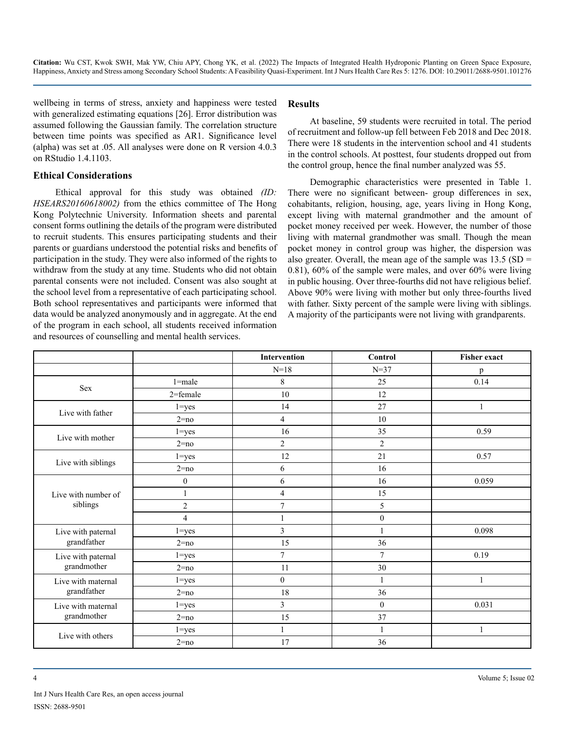wellbeing in terms of stress, anxiety and happiness were tested with generalized estimating equations [26]. Error distribution was assumed following the Gaussian family. The correlation structure between time points was specified as AR1. Significance level (alpha) was set at .05. All analyses were done on R version 4.0.3 on RStudio 1.4.1103.

#### **Ethical Considerations**

Ethical approval for this study was obtained *(ID: HSEARS20160618002)* from the ethics committee of The Hong Kong Polytechnic University. Information sheets and parental consent forms outlining the details of the program were distributed to recruit students. This ensures participating students and their parents or guardians understood the potential risks and benefits of participation in the study. They were also informed of the rights to withdraw from the study at any time. Students who did not obtain parental consents were not included. Consent was also sought at the school level from a representative of each participating school. Both school representatives and participants were informed that data would be analyzed anonymously and in aggregate. At the end of the program in each school, all students received information and resources of counselling and mental health services.

#### **Results**

At baseline, 59 students were recruited in total. The period of recruitment and follow-up fell between Feb 2018 and Dec 2018. There were 18 students in the intervention school and 41 students in the control schools. At posttest, four students dropped out from the control group, hence the final number analyzed was 55.

Demographic characteristics were presented in Table 1. There were no significant between- group differences in sex, cohabitants, religion, housing, age, years living in Hong Kong, except living with maternal grandmother and the amount of pocket money received per week. However, the number of those living with maternal grandmother was small. Though the mean pocket money in control group was higher, the dispersion was also greater. Overall, the mean age of the sample was  $13.5$  (SD = 0.81), 60% of the sample were males, and over 60% were living in public housing. Over three-fourths did not have religious belief. Above 90% were living with mother but only three-fourths lived with father. Sixty percent of the sample were living with siblings. A majority of the participants were not living with grandparents.

|                                   |                | Intervention             | Control          | <b>Fisher exact</b> |
|-----------------------------------|----------------|--------------------------|------------------|---------------------|
|                                   |                | $N = 18$                 | $N = 37$         | p                   |
| Sex                               | $1 = male$     | 8                        | 25               | 0.14                |
|                                   | 2=female       | $10\,$                   | 12               |                     |
| Live with father                  | $1 = yes$      | 14                       | 27               |                     |
|                                   | $2 = no$       | $\overline{4}$           | 10               |                     |
| Live with mother                  | $1 = yes$      | 16                       | 35               | 0.59                |
|                                   | $2 = no$       | $\overline{c}$           | $\overline{2}$   |                     |
| Live with siblings                | $1 = yes$      | 12                       | 21               | 0.57                |
|                                   | $2 = no$       | 6                        | 16               |                     |
|                                   | $\mathbf{0}$   | 6                        | 16               | 0.059               |
| Live with number of               | $\mathbf{1}$   | $\overline{\mathcal{L}}$ | 15               |                     |
| siblings                          | $\sqrt{2}$     | 7                        | 5                |                     |
|                                   | $\overline{4}$ |                          | $\boldsymbol{0}$ |                     |
| Live with paternal                | $1 = yes$      | 3                        | 1                | 0.098               |
| grandfather                       | $2 = no$       | 15                       | 36               |                     |
| Live with paternal<br>grandmother | $1 = yes$      | $\overline{7}$           | $\tau$           | 0.19                |
|                                   | $2 = no$       | 11                       | 30               |                     |
| Live with maternal<br>grandfather | $1 = yes$      | $\mathbf{0}$             | 1                |                     |
|                                   | $2 = no$       | 18                       | 36               |                     |
| Live with maternal<br>grandmother | $1 = yes$      | 3                        | $\mathbf{0}$     | 0.031               |
|                                   | $2 = no$       | 15                       | 37               |                     |
| Live with others                  | $1 = yes$      | $\mathbf{1}$             | $\mathbf{1}$     | 1                   |
|                                   | $2 = no$       | 17                       | 36               |                     |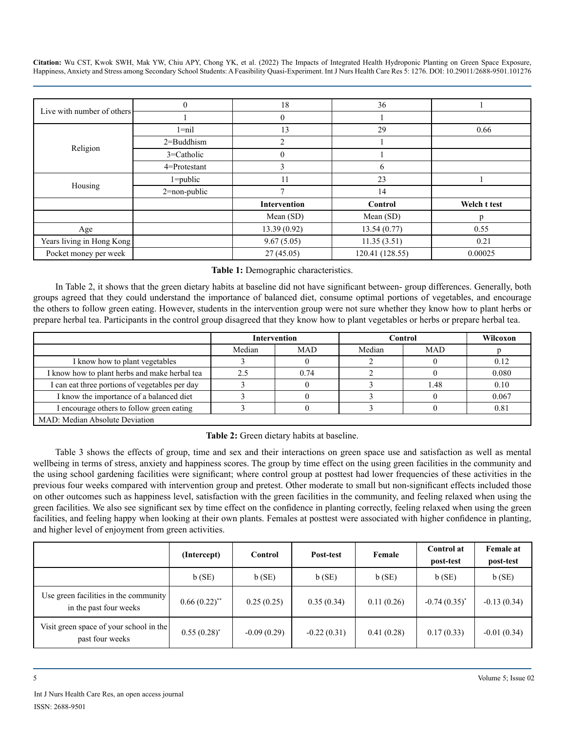| Live with number of others $\frac{1}{2}$ |                  | 18                  | 36              |              |
|------------------------------------------|------------------|---------------------|-----------------|--------------|
|                                          |                  |                     |                 |              |
| Religion                                 | $1 = nil$        | 13                  | 29              | 0.66         |
|                                          | $2 =$ Buddhism   | ↑                   |                 |              |
|                                          | 3=Catholic       |                     |                 |              |
|                                          | 4=Protestant     |                     | 6               |              |
| Housing                                  | $1 = public$     | 11                  | 23              |              |
|                                          | $2 = non-public$ |                     | 14              |              |
|                                          |                  | <b>Intervention</b> | Control         | Welch t test |
|                                          |                  | Mean (SD)           | Mean (SD)       | D            |
| Age                                      |                  | 13.39(0.92)         | 13.54(0.77)     | 0.55         |
| Years living in Hong Kong                |                  | 9.67(5.05)          | 11.35(3.51)     | 0.21         |
| Pocket money per week                    |                  | 27(45.05)           | 120.41 (128.55) | 0.00025      |

#### **Table 1:** Demographic characteristics.

In Table 2, it shows that the green dietary habits at baseline did not have significant between- group differences. Generally, both groups agreed that they could understand the importance of balanced diet, consume optimal portions of vegetables, and encourage the others to follow green eating. However, students in the intervention group were not sure whether they know how to plant herbs or prepare herbal tea. Participants in the control group disagreed that they know how to plant vegetables or herbs or prepare herbal tea.

|                                                | Intervention |            | <b>Control</b> |            | Wilcoxon |  |
|------------------------------------------------|--------------|------------|----------------|------------|----------|--|
|                                                | Median       | <b>MAD</b> | Median         | <b>MAD</b> |          |  |
| I know how to plant vegetables                 |              |            |                |            | 0.12     |  |
| I know how to plant herbs and make herbal tea  | 2.5          | 0.74       |                |            | 0.080    |  |
| I can eat three portions of vegetables per day |              |            |                | 1.48       | 0.10     |  |
| I know the importance of a balanced diet       |              |            |                |            | 0.067    |  |
| I encourage others to follow green eating      |              |            |                |            | 0.81     |  |
| MAD: Median Absolute Deviation                 |              |            |                |            |          |  |

#### **Table 2:** Green dietary habits at baseline.

Table 3 shows the effects of group, time and sex and their interactions on green space use and satisfaction as well as mental wellbeing in terms of stress, anxiety and happiness scores. The group by time effect on the using green facilities in the community and the using school gardening facilities were significant; where control group at posttest had lower frequencies of these activities in the previous four weeks compared with intervention group and pretest. Other moderate to small but non-significant effects included those on other outcomes such as happiness level, satisfaction with the green facilities in the community, and feeling relaxed when using the green facilities. We also see significant sex by time effect on the confidence in planting correctly, feeling relaxed when using the green facilities, and feeling happy when looking at their own plants. Females at posttest were associated with higher confidence in planting, and higher level of enjoyment from green activities.

|                                                                 | (Intercept)      | <b>Control</b> | Post-test     | Female     | Control at<br>post-test | <b>Female at</b><br>post-test |
|-----------------------------------------------------------------|------------------|----------------|---------------|------------|-------------------------|-------------------------------|
|                                                                 | b(SE)            | b(SE)          | b(SE)         | b(SE)      | b(SE)                   | b(SE)                         |
| Use green facilities in the community<br>in the past four weeks | $0.66(0.22)$ **  | 0.25(0.25)     | 0.35(0.34)    | 0.11(0.26) | $-0.74(0.35)^{*}$       | $-0.13(0.34)$                 |
| Visit green space of your school in the<br>past four weeks      | $0.55(0.28)^{*}$ | $-0.09(0.29)$  | $-0.22(0.31)$ | 0.41(0.28) | 0.17(0.33)              | $-0.01(0.34)$                 |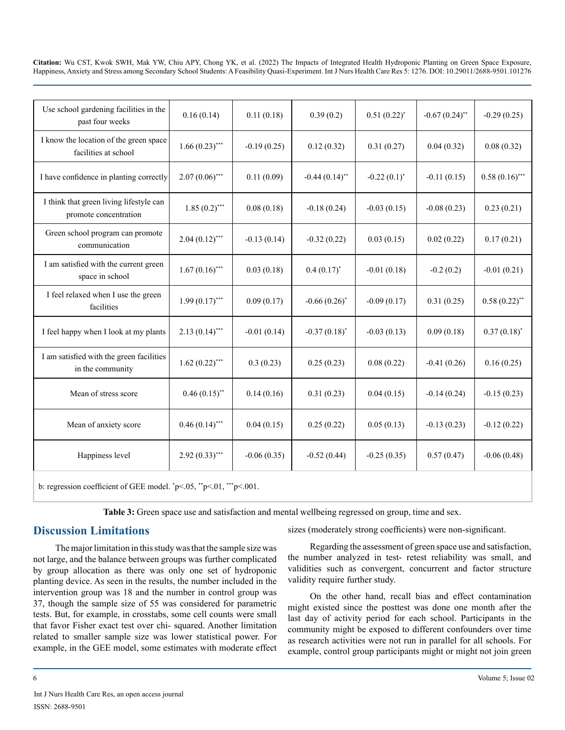| Use school gardening facilities in the<br>past four weeks                                                             | 0.16(0.14)       | 0.11(0.18)    | 0.39(0.2)         | $0.51(0.22)^{*}$ | $-0.67(0.24)$ ** | $-0.29(0.25)$    |
|-----------------------------------------------------------------------------------------------------------------------|------------------|---------------|-------------------|------------------|------------------|------------------|
| I know the location of the green space<br>facilities at school                                                        | $1.66(0.23)$ *** | $-0.19(0.25)$ | 0.12(0.32)        | 0.31(0.27)       | 0.04(0.32)       | 0.08(0.32)       |
| I have confidence in planting correctly                                                                               | $2.07(0.06)$ *** | 0.11(0.09)    | $-0.44(0.14)$ **  | $-0.22(0.1)^{*}$ | $-0.11(0.15)$    | $0.58(0.16)$ *** |
| I think that green living lifestyle can<br>promote concentration                                                      | $1.85(0.2)$ ***  | 0.08(0.18)    | $-0.18(0.24)$     | $-0.03(0.15)$    | $-0.08(0.23)$    | 0.23(0.21)       |
| Green school program can promote<br>communication                                                                     | $2.04(0.12)$ *** | $-0.13(0.14)$ | $-0.32(0.22)$     | 0.03(0.15)       | 0.02(0.22)       | 0.17(0.21)       |
| I am satisfied with the current green<br>space in school                                                              | $1.67(0.16)$ *** | 0.03(0.18)    | $0.4(0.17)^{*}$   | $-0.01(0.18)$    | $-0.2(0.2)$      | $-0.01(0.21)$    |
| I feel relaxed when I use the green<br>facilities                                                                     | $1.99(0.17)$ *** | 0.09(0.17)    | $-0.66(0.26)$ *   | $-0.09(0.17)$    | 0.31(0.25)       | $0.58(0.22)$ **  |
| I feel happy when I look at my plants                                                                                 | $2.13(0.14)$ *** | $-0.01(0.14)$ | $-0.37(0.18)^{*}$ | $-0.03(0.13)$    | 0.09(0.18)       | $0.37(0.18)^*$   |
| I am satisfied with the green facilities<br>in the community                                                          | $1.62(0.22)$ *** | 0.3(0.23)     | 0.25(0.23)        | 0.08(0.22)       | $-0.41(0.26)$    | 0.16(0.25)       |
| Mean of stress score                                                                                                  | $0.46(0.15)$ **  | 0.14(0.16)    | 0.31(0.23)        | 0.04(0.15)       | $-0.14(0.24)$    | $-0.15(0.23)$    |
| Mean of anxiety score                                                                                                 | $0.46(0.14)$ *** | 0.04(0.15)    | 0.25(0.22)        | 0.05(0.13)       | $-0.13(0.23)$    | $-0.12(0.22)$    |
| Happiness level                                                                                                       | $2.92(0.33)$ *** | $-0.06(0.35)$ | $-0.52(0.44)$     | $-0.25(0.35)$    | 0.57(0.47)       | $-0.06(0.48)$    |
| by regression each control of CEE model $\sqrt[n]{\mathcal{N}}$ $\mathbb{R}$ $\rightarrow$ 05 $\sqrt[n]{\mathcal{N}}$ |                  |               |                   |                  |                  |                  |

b: regression coefficient of GEE model.  $\degree$ p<.05,  $\degree$ <sup>\*\*</sup>p<.01,  $\degree$ \*\*p<.001.

**Table 3:** Green space use and satisfaction and mental wellbeing regressed on group, time and sex.

#### **Discussion Limitations**

The major limitation in this study was that the sample size was not large, and the balance between groups was further complicated by group allocation as there was only one set of hydroponic planting device. As seen in the results, the number included in the intervention group was 18 and the number in control group was 37, though the sample size of 55 was considered for parametric tests. But, for example, in crosstabs, some cell counts were small that favor Fisher exact test over chi- squared. Another limitation related to smaller sample size was lower statistical power. For example, in the GEE model, some estimates with moderate effect

sizes (moderately strong coefficients) were non-significant.

Regarding the assessment of green space use and satisfaction, the number analyzed in test- retest reliability was small, and validities such as convergent, concurrent and factor structure validity require further study.

On the other hand, recall bias and effect contamination might existed since the posttest was done one month after the last day of activity period for each school. Participants in the community might be exposed to different confounders over time as research activities were not run in parallel for all schools. For example, control group participants might or might not join green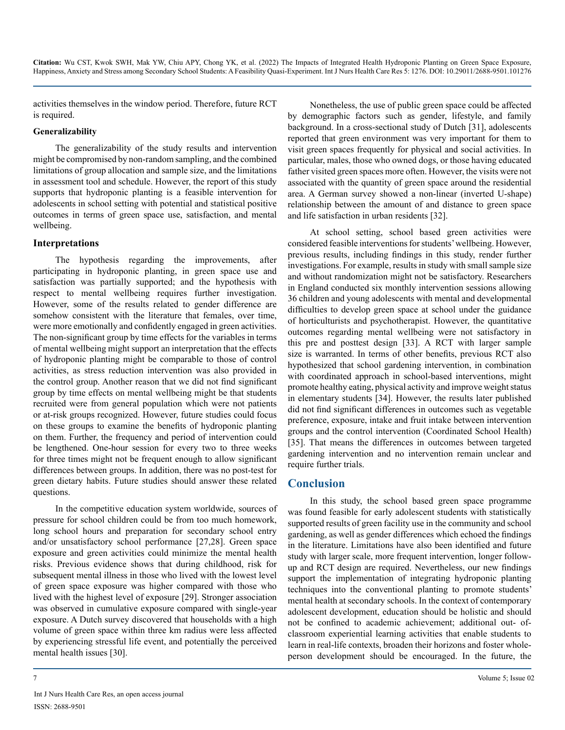activities themselves in the window period. Therefore, future RCT is required.

#### **Generalizability**

The generalizability of the study results and intervention might be compromised by non-random sampling, and the combined limitations of group allocation and sample size, and the limitations in assessment tool and schedule. However, the report of this study supports that hydroponic planting is a feasible intervention for adolescents in school setting with potential and statistical positive outcomes in terms of green space use, satisfaction, and mental wellbeing.

#### **Interpretations**

The hypothesis regarding the improvements, after participating in hydroponic planting, in green space use and satisfaction was partially supported; and the hypothesis with respect to mental wellbeing requires further investigation. However, some of the results related to gender difference are somehow consistent with the literature that females, over time, were more emotionally and confidently engaged in green activities. The non-significant group by time effects for the variables in terms of mental wellbeing might support an interpretation that the effects of hydroponic planting might be comparable to those of control activities, as stress reduction intervention was also provided in the control group. Another reason that we did not find significant group by time effects on mental wellbeing might be that students recruited were from general population which were not patients or at-risk groups recognized. However, future studies could focus on these groups to examine the benefits of hydroponic planting on them. Further, the frequency and period of intervention could be lengthened. One-hour session for every two to three weeks for three times might not be frequent enough to allow significant differences between groups. In addition, there was no post-test for green dietary habits. Future studies should answer these related questions.

In the competitive education system worldwide, sources of pressure for school children could be from too much homework, long school hours and preparation for secondary school entry and/or unsatisfactory school performance [27,28]. Green space exposure and green activities could minimize the mental health risks. Previous evidence shows that during childhood, risk for subsequent mental illness in those who lived with the lowest level of green space exposure was higher compared with those who lived with the highest level of exposure [29]. Stronger association was observed in cumulative exposure compared with single-year exposure. A Dutch survey discovered that households with a high volume of green space within three km radius were less affected by experiencing stressful life event, and potentially the perceived mental health issues [30].

Nonetheless, the use of public green space could be affected by demographic factors such as gender, lifestyle, and family background. In a cross-sectional study of Dutch [31], adolescents reported that green environment was very important for them to visit green spaces frequently for physical and social activities. In particular, males, those who owned dogs, or those having educated father visited green spaces more often. However, the visits were not associated with the quantity of green space around the residential area. A German survey showed a non-linear (inverted U-shape) relationship between the amount of and distance to green space and life satisfaction in urban residents [32].

At school setting, school based green activities were considered feasible interventions for students' wellbeing. However, previous results, including findings in this study, render further investigations. For example, results in study with small sample size and without randomization might not be satisfactory. Researchers in England conducted six monthly intervention sessions allowing 36 children and young adolescents with mental and developmental difficulties to develop green space at school under the guidance of horticulturists and psychotherapist. However, the quantitative outcomes regarding mental wellbeing were not satisfactory in this pre and posttest design [33]. A RCT with larger sample size is warranted. In terms of other benefits, previous RCT also hypothesized that school gardening intervention, in combination with coordinated approach in school-based interventions, might promote healthy eating, physical activity and improve weight status in elementary students [34]. However, the results later published did not find significant differences in outcomes such as vegetable preference, exposure, intake and fruit intake between intervention groups and the control intervention (Coordinated School Health) [35]. That means the differences in outcomes between targeted gardening intervention and no intervention remain unclear and require further trials.

#### **Conclusion**

In this study, the school based green space programme was found feasible for early adolescent students with statistically supported results of green facility use in the community and school gardening, as well as gender differences which echoed the findings in the literature. Limitations have also been identified and future study with larger scale, more frequent intervention, longer followup and RCT design are required. Nevertheless, our new findings support the implementation of integrating hydroponic planting techniques into the conventional planting to promote students' mental health at secondary schools. In the context of contemporary adolescent development, education should be holistic and should not be confined to academic achievement; additional out- ofclassroom experiential learning activities that enable students to learn in real-life contexts, broaden their horizons and foster wholeperson development should be encouraged. In the future, the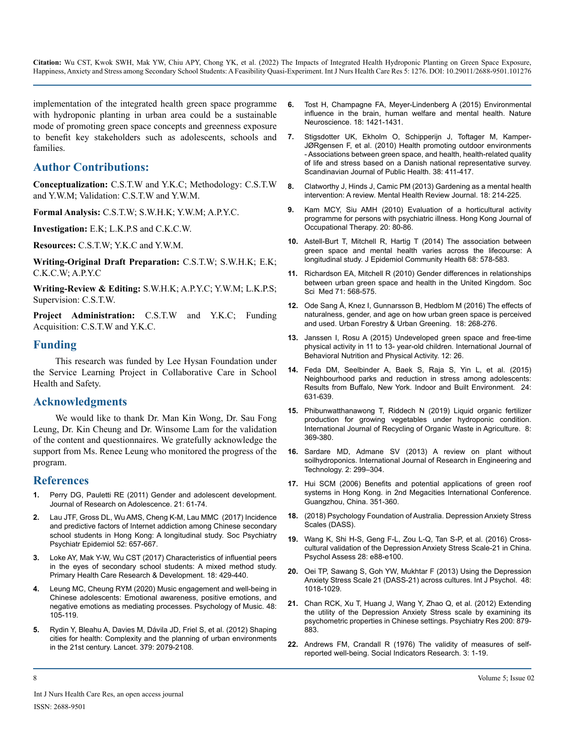implementation of the integrated health green space programme with hydroponic planting in urban area could be a sustainable mode of promoting green space concepts and greenness exposure to benefit key stakeholders such as adolescents, schools and families.

#### **Author Contributions:**

**Conceptualization:** C.S.T.W and Y.K.C; Methodology: C.S.T.W and Y.W.M; Validation: C.S.T.W and Y.W.M.

**Formal Analysis:** C.S.T.W; S.W.H.K; Y.W.M; A.P.Y.C.

**Investigation:** E.K; L.K.P.S and C.K.C.W.

**Resources:** C.S.T.W; Y.K.C and Y.W.M.

**Writing-Original Draft Preparation:** C.S.T.W; S.W.H.K; E.K; C.K.C.W; A.P.Y.C

**Writing-Review & Editing:** S.W.H.K; A.P.Y.C; Y.W.M; L.K.P.S; Supervision: C.S.T.W.

**Project Administration:** C.S.T.W and Y.K.C; Funding Acquisition: C.S.T.W and Y.K.C.

#### **Funding**

This research was funded by Lee Hysan Foundation under the Service Learning Project in Collaborative Care in School Health and Safety.

#### **Acknowledgments**

We would like to thank Dr. Man Kin Wong, Dr. Sau Fong Leung, Dr. Kin Cheung and Dr. Winsome Lam for the validation of the content and questionnaires. We gratefully acknowledge the support from Ms. Renee Leung who monitored the progress of the program.

#### **References**

- Perry DG, Pauletti RE (2011) Gender and adolescent development. [Journal of Research on Adolescence. 21: 61-74.](https://onlinelibrary.wiley.com/doi/10.1111/j.1532-7795.2010.00715.x)
- **2.** [Lau JTF, Gross DL, Wu AMS, Cheng K-M, Lau MMC \(2017\) Incidence](https://pubmed.ncbi.nlm.nih.gov/28417158/) [and predictive factors of Internet addiction among Chinese secondary](https://pubmed.ncbi.nlm.nih.gov/28417158/)  [school students in Hong Kong: A longitudinal study. Soc Psychiatry](https://pubmed.ncbi.nlm.nih.gov/28417158/)  [Psychiatr Epidemiol 52: 657-667.](https://pubmed.ncbi.nlm.nih.gov/28417158/)
- **3.** [Loke AY, Mak Y-W, Wu CST \(2017\) Characteristics of influential peers](https://psycnet.apa.org/record/2017-21480-001)  [in the eyes of secondary school students: A mixed method study.](https://psycnet.apa.org/record/2017-21480-001)  [Primary Health Care Research & Development. 18: 429-440.](https://psycnet.apa.org/record/2017-21480-001)
- **4.** [Leung MC, Cheung RYM \(2020\) Music engagement and well-being in](https://journals.sagepub.com/doi/full/10.1177/0305735618786421)  [Chinese adolescents: Emotional awareness, positive emotions, and](https://journals.sagepub.com/doi/full/10.1177/0305735618786421)  [negative emotions as mediating processes. Psychology of Music. 48:](https://journals.sagepub.com/doi/full/10.1177/0305735618786421)  [105-119.](https://journals.sagepub.com/doi/full/10.1177/0305735618786421)
- **5.** [Rydin Y, Bleahu A, Davies M, Dávila JD, Friel S, et al. \(2012\) Shaping](https://www.thelancet.com/commissions/healthy-cities)  [cities for health: Complexity and the planning of urban environments](https://www.thelancet.com/commissions/healthy-cities)  [in the 21st century. Lancet. 379: 2079-2108.](https://www.thelancet.com/commissions/healthy-cities)
- **6.** [Tost H, Champagne FA, Meyer-Lindenberg A \(2015\) Environmental](https://www.nature.com/articles/nn.4108)  [influence in the brain, human welfare and mental health. Nature](https://www.nature.com/articles/nn.4108)  [Neuroscience. 18: 1421-1431.](https://www.nature.com/articles/nn.4108)
- **7.** [Stigsdotter UK, Ekholm O, Schipperijn J, Toftager M, Kamper-](https://healthytreeshealthylives.org/resources/health-promoting-outdoor-environments-associations-betweengreenspace-and-health-health-related-quality-of-life-and-stress-based-on-a-danish-national-representative-survey)[JØRgensen F, et al. \(2010\) Health promoting outdoor environments](https://healthytreeshealthylives.org/resources/health-promoting-outdoor-environments-associations-betweengreenspace-and-health-health-related-quality-of-life-and-stress-based-on-a-danish-national-representative-survey)  [- Associations between green space, and health, health-related quality](https://healthytreeshealthylives.org/resources/health-promoting-outdoor-environments-associations-betweengreenspace-and-health-health-related-quality-of-life-and-stress-based-on-a-danish-national-representative-survey)  [of life and stress based on a Danish national representative survey.](https://healthytreeshealthylives.org/resources/health-promoting-outdoor-environments-associations-betweengreenspace-and-health-health-related-quality-of-life-and-stress-based-on-a-danish-national-representative-survey) [Scandinavian Journal of Public Health. 38: 411-417.](https://healthytreeshealthylives.org/resources/health-promoting-outdoor-environments-associations-betweengreenspace-and-health-health-related-quality-of-life-and-stress-based-on-a-danish-national-representative-survey)
- **8.** [Clatworthy J, Hinds J, Camic PM \(2013\) Gardening as a mental health](https://www.emerald.com/insight/content/doi/10.1108/MHRJ-02-2013-0007/full/html)  [intervention: A review. Mental Health Review Journal. 18: 214-225.](https://www.emerald.com/insight/content/doi/10.1108/MHRJ-02-2013-0007/full/html)
- **9.** [Kam MCY, Siu AMH \(2010\) Evaluation of a horticultural activity](https://www.sciencedirect.com/science/article/pii/S1569186111700079)  [programme for persons with psychiatric illness. Hong Kong Journal of](https://www.sciencedirect.com/science/article/pii/S1569186111700079) [Occupational Therapy. 20: 80-86.](https://www.sciencedirect.com/science/article/pii/S1569186111700079)
- **10.** [Astell-Burt T, Mitchell R, Hartig T \(2014\) The association between](https://pubmed.ncbi.nlm.nih.gov/24604596/)  [green space and mental health varies across the lifecourse: A](https://pubmed.ncbi.nlm.nih.gov/24604596/)  [longitudinal study. J Epidemiol Community Health 68: 578-583.](https://pubmed.ncbi.nlm.nih.gov/24604596/)
- **11.** [Richardson EA, Mitchell R \(2010\) Gender differences in relationships](https://pubmed.ncbi.nlm.nih.gov/20621750/#:~:text=Male cardiovascular disease and respiratory,for either men or women.)  [between urban green space and health in the United Kingdom. Soc](https://pubmed.ncbi.nlm.nih.gov/20621750/#:~:text=Male cardiovascular disease and respiratory,for either men or women.)  [Sci Med 71: 568-575.](https://pubmed.ncbi.nlm.nih.gov/20621750/#:~:text=Male cardiovascular disease and respiratory,for either men or women.)
- **12.** [Ode Sang Å, Knez I, Gunnarsson B, Hedblom M \(2016\) The effects of](https://www.sciencedirect.com/science/article/abs/pii/S1618866715300765) [naturalness, gender, and age on how urban green space is perceived](https://www.sciencedirect.com/science/article/abs/pii/S1618866715300765)  [and used. Urban Forestry & Urban Greening. 18: 268-276.](https://www.sciencedirect.com/science/article/abs/pii/S1618866715300765)
- **13.** [Janssen I, Rosu A \(2015\) Undeveloped green space and free-time](https://ijbnpa.biomedcentral.com/articles/10.1186/s12966-015-0187-3)  [physical activity in 11 to 13- year-old children. International Journal of](https://ijbnpa.biomedcentral.com/articles/10.1186/s12966-015-0187-3)  [Behavioral Nutrition and Physical Activity. 12: 26.](https://ijbnpa.biomedcentral.com/articles/10.1186/s12966-015-0187-3)
- **14.** [Feda DM, Seelbinder A, Baek S, Raja S, Yin L, et al. \(2015\)](https://journals.sagepub.com/doi/abs/10.1177/1420326X14535791) [Neighbourhood parks and reduction in stress among adolescents:](https://journals.sagepub.com/doi/abs/10.1177/1420326X14535791)  [Results from Buffalo, New York. Indoor and Built Environment. 24:](https://journals.sagepub.com/doi/abs/10.1177/1420326X14535791)  [631-639.](https://journals.sagepub.com/doi/abs/10.1177/1420326X14535791)
- **15.** [Phibunwatthanawong T, Riddech N \(2019\) Liquid organic fertilizer](https://link.springer.com/article/10.1007/s40093-019-0257-7)  [production for growing vegetables under hydroponic condition.](https://link.springer.com/article/10.1007/s40093-019-0257-7)  [International Journal of Recycling of Organic Waste in Agriculture. 8:](https://link.springer.com/article/10.1007/s40093-019-0257-7)  [369-380.](https://link.springer.com/article/10.1007/s40093-019-0257-7)
- **16.** [Sardare MD, Admane SV \(2013\) A review on plant without](https://www.researchgate.net/publication/276320585_A_REVIEW_ON_PLANT_WITHOUT_SOIL_-_HYDROPONICS)  [soilhydroponics. International Journal of Research in Engineering and](https://www.researchgate.net/publication/276320585_A_REVIEW_ON_PLANT_WITHOUT_SOIL_-_HYDROPONICS)  [Technology. 2: 299–304.](https://www.researchgate.net/publication/276320585_A_REVIEW_ON_PLANT_WITHOUT_SOIL_-_HYDROPONICS)
- **17.** [Hui SCM \(2006\) Benefits and potential applications of green roof](https://www.researchgate.net/publication/241844469_Benefits_and_potential_applications_of_green_roof_systems_in_Hong_Kong)  [systems in Hong Kong. in 2nd Megacities International Conference.](https://www.researchgate.net/publication/241844469_Benefits_and_potential_applications_of_green_roof_systems_in_Hong_Kong) [Guangzhou, China. 351-360.](https://www.researchgate.net/publication/241844469_Benefits_and_potential_applications_of_green_roof_systems_in_Hong_Kong)
- **18.** [\(2018\) Psychology Foundation of Australia. Depression Anxiety Stress](http://www2.psy.unsw.edu.au/dass/)  [Scales \(DASS\).](http://www2.psy.unsw.edu.au/dass/)
- **19.** [Wang K, Shi H-S, Geng F-L, Zou L-Q, Tan S-P, et al. \(2016\) Cross](https://pubmed.ncbi.nlm.nih.gov/26619091/)[cultural validation of the Depression Anxiety Stress Scale-21 in China.](https://pubmed.ncbi.nlm.nih.gov/26619091/)  [Psychol Assess 28: e88-e100.](https://pubmed.ncbi.nlm.nih.gov/26619091/)
- **20.** [Oei TP, Sawang S, Goh YW, Mukhtar F \(2013\) Using the Depression](https://pubmed.ncbi.nlm.nih.gov/23425257/)  [Anxiety Stress Scale 21 \(DASS-21\) across cultures. Int J Psychol. 48:](https://pubmed.ncbi.nlm.nih.gov/23425257/)  [1018-1029.](https://pubmed.ncbi.nlm.nih.gov/23425257/)
- **21.** [Chan RCK, Xu T, Huang J, Wang Y, Zhao Q, et al. \(2012\) Extending](https://pubmed.ncbi.nlm.nih.gov/22921506/)  [the utility of the Depression Anxiety Stress scale by examining its](https://pubmed.ncbi.nlm.nih.gov/22921506/)  [psychometric properties in Chinese settings. Psychiatry Res 200: 879-](https://pubmed.ncbi.nlm.nih.gov/22921506/) [883.](https://pubmed.ncbi.nlm.nih.gov/22921506/)
- **22.** [Andrews FM, Crandall R \(1976\) The validity of measures of self](https://link.springer.com/article/10.1007/BF00286161#:~:text=The results provide evidence that,10%25 of the total variance.)[reported well-being. Social Indicators Research. 3: 1-19.](https://link.springer.com/article/10.1007/BF00286161#:~:text=The results provide evidence that,10%25 of the total variance.)